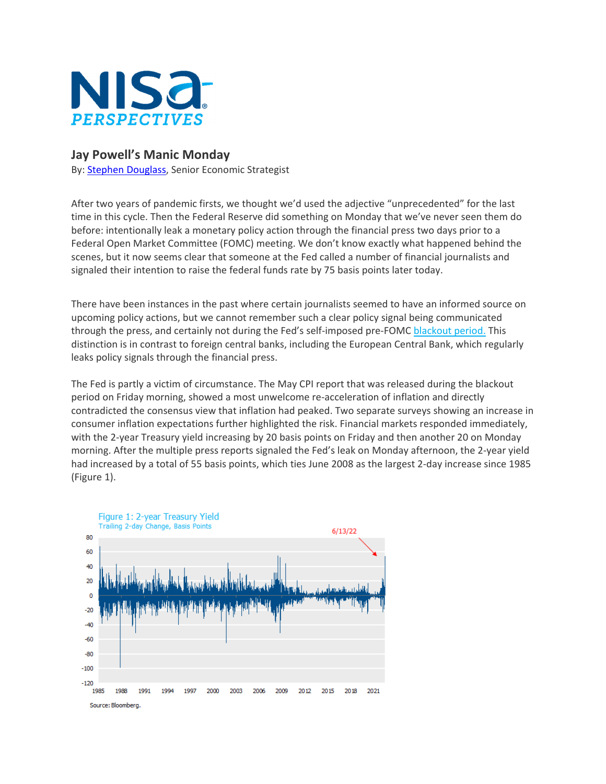

## **Jay Powell's Manic Monday**

By: Stephen Douglass, Senior Economic Strategist

After two years of pandemic firsts, we thought we'd used the adjective "unprecedented" for the last time in this cycle. Then the Federal Reserve did something on Monday that we've never seen them do before: intentionally leak a monetary policy action through the financial press two days prior to a Federal Open Market Committee (FOMC) meeting. We don't know exactly what happened behind the scenes, but it now seems clear that someone at the Fed called a number of financial journalists and signaled their intention to raise the federal funds rate by 75 basis points later today.

There have been instances in the past where certain journalists seemed to have an informed source on upcoming policy actions, but we cannot remember such a clear policy signal being communicated through the press, and certainly not during the Fed's self-imposed pre-FOMC blackout period. This distinction is in contrast to foreign central banks, including the European Central Bank, which regularly leaks policy signals through the financial press.

The Fed is partly a victim of circumstance. The May CPI report that was released during the blackout period on Friday morning, showed a most unwelcome re‐acceleration of inflation and directly contradicted the consensus view that inflation had peaked. Two separate surveys showing an increase in consumer inflation expectations further highlighted the risk. Financial markets responded immediately, with the 2‐year Treasury yield increasing by 20 basis points on Friday and then another 20 on Monday morning. After the multiple press reports signaled the Fed's leak on Monday afternoon, the 2‐year yield had increased by a total of 55 basis points, which ties June 2008 as the largest 2‐day increase since 1985 (Figure 1).

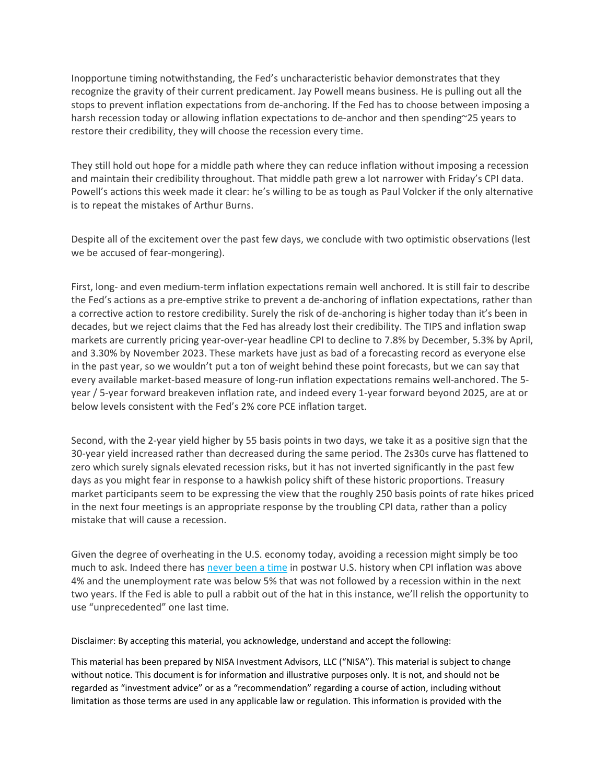Inopportune timing notwithstanding, the Fed's uncharacteristic behavior demonstrates that they recognize the gravity of their current predicament. Jay Powell means business. He is pulling out all the stops to prevent inflation expectations from de‐anchoring. If the Fed has to choose between imposing a harsh recession today or allowing inflation expectations to de-anchor and then spending∼25 years to restore their credibility, they will choose the recession every time.

They still hold out hope for a middle path where they can reduce inflation without imposing a recession and maintain their credibility throughout. That middle path grew a lot narrower with Friday's CPI data. Powell's actions this week made it clear: he's willing to be as tough as Paul Volcker if the only alternative is to repeat the mistakes of Arthur Burns.

Despite all of the excitement over the past few days, we conclude with two optimistic observations (lest we be accused of fear-mongering).

First, long‐ and even medium‐term inflation expectations remain well anchored. It is still fair to describe the Fed's actions as a pre‐emptive strike to prevent a de‐anchoring of inflation expectations, rather than a corrective action to restore credibility. Surely the risk of de‐anchoring is higher today than it's been in decades, but we reject claims that the Fed has already lost their credibility. The TIPS and inflation swap markets are currently pricing year‐over‐year headline CPI to decline to 7.8% by December, 5.3% by April, and 3.30% by November 2023. These markets have just as bad of a forecasting record as everyone else in the past year, so we wouldn't put a ton of weight behind these point forecasts, but we can say that every available market-based measure of long-run inflation expectations remains well-anchored. The 5year / 5‐year forward breakeven inflation rate, and indeed every 1‐year forward beyond 2025, are at or below levels consistent with the Fed's 2% core PCE inflation target.

Second, with the 2‐year yield higher by 55 basis points in two days, we take it as a positive sign that the 30‐year yield increased rather than decreased during the same period. The 2s30s curve has flattened to zero which surely signals elevated recession risks, but it has not inverted significantly in the past few days as you might fear in response to a hawkish policy shift of these historic proportions. Treasury market participants seem to be expressing the view that the roughly 250 basis points of rate hikes priced in the next four meetings is an appropriate response by the troubling CPI data, rather than a policy mistake that will cause a recession.

Given the degree of overheating in the U.S. economy today, avoiding a recession might simply be too much to ask. Indeed there has never been a time in postwar U.S. history when CPI inflation was above 4% and the unemployment rate was below 5% that was not followed by a recession within in the next two years. If the Fed is able to pull a rabbit out of the hat in this instance, we'll relish the opportunity to use "unprecedented" one last time.

Disclaimer: By accepting this material, you acknowledge, understand and accept the following:

This material has been prepared by NISA Investment Advisors, LLC ("NISA"). This material is subject to change without notice. This document is for information and illustrative purposes only. It is not, and should not be regarded as "investment advice" or as a "recommendation" regarding a course of action, including without limitation as those terms are used in any applicable law or regulation. This information is provided with the